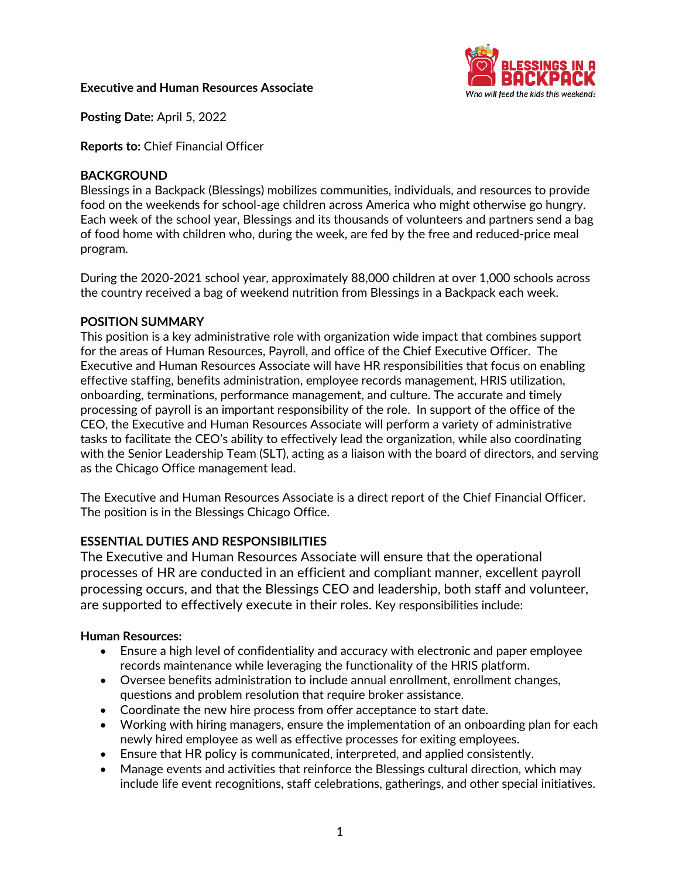## **Executive and Human Resources Associate**



**Posting Date:** April 5, 2022

**Reports to:** Chief Financial Officer

## **BACKGROUND**

Blessings in a Backpack (Blessings) mobilizes communities, individuals, and resources to provide food on the weekends for school-age children across America who might otherwise go hungry. Each week of the school year, Blessings and its thousands of volunteers and partners send a bag of food home with children who, during the week, are fed by the free and reduced-price meal program.

During the 2020-2021 school year, approximately 88,000 children at over 1,000 schools across the country received a bag of weekend nutrition from Blessings in a Backpack each week.

### **POSITION SUMMARY**

This position is a key administrative role with organization wide impact that combines support for the areas of Human Resources, Payroll, and office of the Chief Executive Officer. The Executive and Human Resources Associate will have HR responsibilities that focus on enabling effective staffing, benefits administration, employee records management, HRIS utilization, onboarding, terminations, performance management, and culture. The accurate and timely processing of payroll is an important responsibility of the role. In support of the office of the CEO, the Executive and Human Resources Associate will perform a variety of administrative tasks to facilitate the CEO's ability to effectively lead the organization, while also coordinating with the Senior Leadership Team (SLT), acting as a liaison with the board of directors, and serving as the Chicago Office management lead.

The Executive and Human Resources Associate is a direct report of the Chief Financial Officer. The position is in the Blessings Chicago Office.

# **ESSENTIAL DUTIES AND RESPONSIBILITIES**

The Executive and Human Resources Associate will ensure that the operational processes of HR are conducted in an efficient and compliant manner, excellent payroll processing occurs, and that the Blessings CEO and leadership, both staff and volunteer, are supported to effectively execute in their roles. Key responsibilities include:

# **Human Resources:**

- Ensure a high level of confidentiality and accuracy with electronic and paper employee records maintenance while leveraging the functionality of the HRIS platform.
- Oversee benefits administration to include annual enrollment, enrollment changes, questions and problem resolution that require broker assistance.
- Coordinate the new hire process from offer acceptance to start date.
- Working with hiring managers, ensure the implementation of an onboarding plan for each newly hired employee as well as effective processes for exiting employees.
- Ensure that HR policy is communicated, interpreted, and applied consistently.
- Manage events and activities that reinforce the Blessings cultural direction, which may include life event recognitions, staff celebrations, gatherings, and other special initiatives.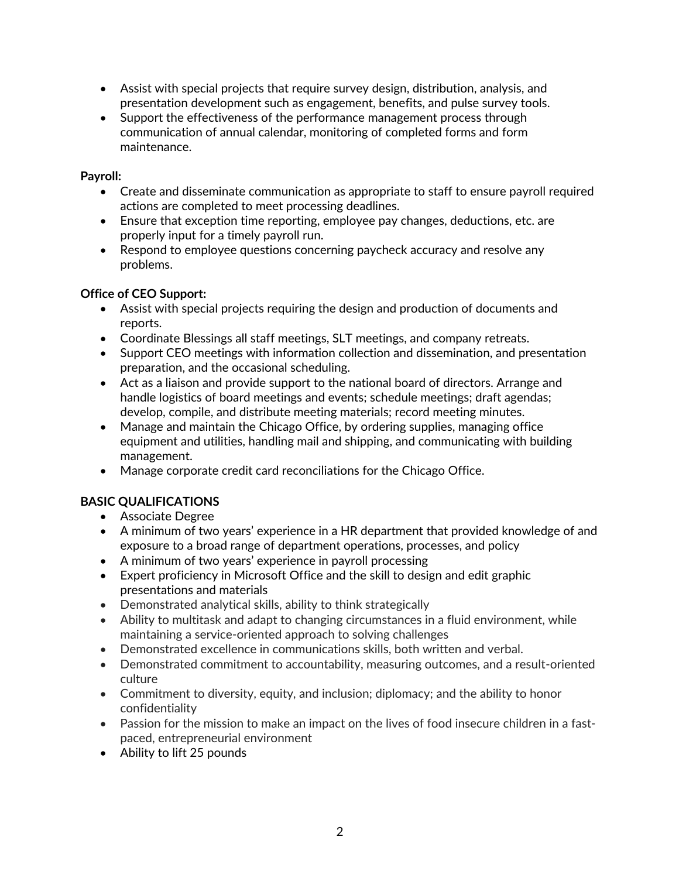- Assist with special projects that require survey design, distribution, analysis, and presentation development such as engagement, benefits, and pulse survey tools.
- Support the effectiveness of the performance management process through communication of annual calendar, monitoring of completed forms and form maintenance.

# **Payroll:**

- Create and disseminate communication as appropriate to staff to ensure payroll required actions are completed to meet processing deadlines.
- Ensure that exception time reporting, employee pay changes, deductions, etc. are properly input for a timely payroll run.
- Respond to employee questions concerning paycheck accuracy and resolve any problems.

# **Office of CEO Support:**

- Assist with special projects requiring the design and production of documents and reports.
- Coordinate Blessings all staff meetings, SLT meetings, and company retreats.
- Support CEO meetings with information collection and dissemination, and presentation preparation, and the occasional scheduling.
- Act as a liaison and provide support to the national board of directors. Arrange and handle logistics of board meetings and events; schedule meetings; draft agendas; develop, compile, and distribute meeting materials; record meeting minutes.
- Manage and maintain the Chicago Office, by ordering supplies, managing office equipment and utilities, handling mail and shipping, and communicating with building management.
- Manage corporate credit card reconciliations for the Chicago Office.

# **BASIC QUALIFICATIONS**

- Associate Degree
- A minimum of two years' experience in a HR department that provided knowledge of and exposure to a broad range of department operations, processes, and policy
- A minimum of two years' experience in payroll processing
- Expert proficiency in Microsoft Office and the skill to design and edit graphic presentations and materials
- Demonstrated analytical skills, ability to think strategically
- Ability to multitask and adapt to changing circumstances in a fluid environment, while maintaining a service-oriented approach to solving challenges
- Demonstrated excellence in communications skills, both written and verbal.
- Demonstrated commitment to accountability, measuring outcomes, and a result-oriented culture
- Commitment to diversity, equity, and inclusion; diplomacy; and the ability to honor confidentiality
- Passion for the mission to make an impact on the lives of food insecure children in a fastpaced, entrepreneurial environment
- Ability to lift 25 pounds